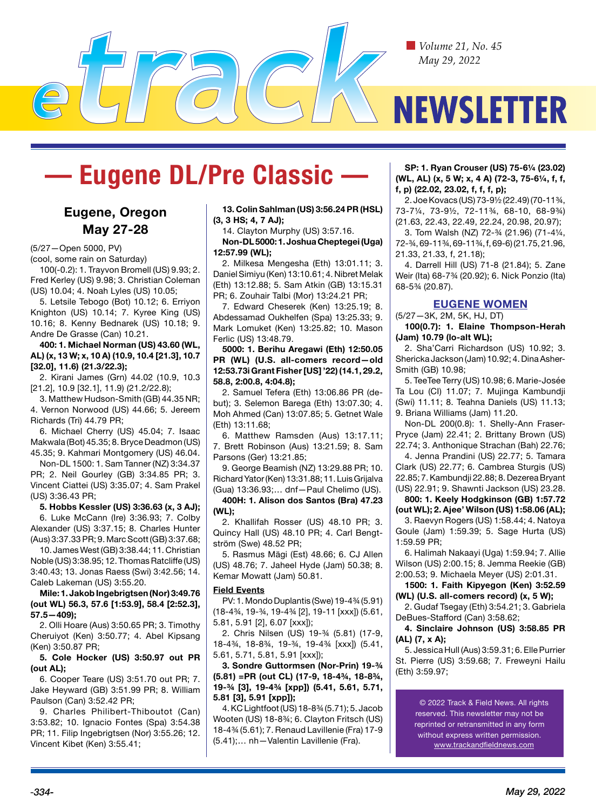

# **— Eugene DL/Pre Classic —**

# **Eugene, Oregon May 27-28**

(5/27—Open 5000, PV)

(cool, some rain on Saturday)

100(-0.2): 1. Trayvon Bromell (US) 9.93; 2. Fred Kerley (US) 9.98; 3. Christian Coleman (US) 10.04; 4. Noah Lyles (US) 10.05;

5. Letsile Tebogo (Bot) 10.12; 6. Erriyon Knighton (US) 10.14; 7. Kyree King (US) 10.16; 8. Kenny Bednarek (US) 10.18; 9. Andre De Grasse (Can) 10.21.

## **400: 1. Michael Norman (US) 43.60 (WL, AL) (x, 13 W; x, 10 A) (10.9, 10.4 [21.3], 10.7 [32.0], 11.6) (21.3/22.3);**

2. Kirani James (Grn) 44.02 (10.9, 10.3 [21.2], 10.9 [32.1], 11.9) (21.2/22.8);

3. Matthew Hudson-Smith (GB) 44.35 NR; 4. Vernon Norwood (US) 44.66; 5. Jereem Richards (Tri) 44.79 PR;

6. Michael Cherry (US) 45.04; 7. Isaac Makwala (Bot) 45.35; 8. Bryce Deadmon (US) 45.35; 9. Kahmari Montgomery (US) 46.04.

Non-DL 1500: 1. Sam Tanner (NZ) 3:34.37 PR; 2. Neil Gourley (GB) 3:34.85 PR; 3. Vincent Ciattei (US) 3:35.07; 4. Sam Prakel (US) 3:36.43 PR;

# **5. Hobbs Kessler (US) 3:36.63 (x, 3 AJ);**

6. Luke McCann (Ire) 3:36.93; 7. Colby Alexander (US) 3:37.15; 8. Charles Hunter (Aus) 3:37.33 PR; 9. Marc Scott (GB) 3:37.68;

10. James West (GB) 3:38.44; 11. Christian Noble (US) 3:38.95; 12. Thomas Ratcliffe (US) 3:40.43; 13. Jonas Raess (Swi) 3:42.56; 14. Caleb Lakeman (US) 3:55.20.

**Mile: 1. Jakob Ingebrigtsen (Nor) 3:49.76 (out WL) 56.3, 57.6 [1:53.9], 58.4 [2:52.3], 57.5—409);** 

2. Olli Hoare (Aus) 3:50.65 PR; 3. Timothy Cheruiyot (Ken) 3:50.77; 4. Abel Kipsang (Ken) 3:50.87 PR;

**5. Cole Hocker (US) 3:50.97 out PR (out AL);** 

6. Cooper Teare (US) 3:51.70 out PR; 7. Jake Heyward (GB) 3:51.99 PR; 8. William Paulson (Can) 3:52.42 PR;

9. Charles Philibert-Thiboutot (Can) 3:53.82; 10. Ignacio Fontes (Spa) 3:54.38 PR; 11. Filip Ingebrigtsen (Nor) 3:55.26; 12. Vincent Kibet (Ken) 3:55.41;

#### **13. Colin Sahlman (US) 3:56.24 PR (HSL) (3, 3 HS; 4, 7 AJ);**

14. Clayton Murphy (US) 3:57.16.

#### **Non-DL 5000: 1. Joshua Cheptegei (Uga) 12:57.99 (WL);**

2. Milkesa Mengesha (Eth) 13:01.11; 3. Daniel Simiyu (Ken) 13:10.61; 4. Nibret Melak (Eth) 13:12.88; 5. Sam Atkin (GB) 13:15.31 PR; 6. Zouhair Talbi (Mor) 13:24.21 PR;

7. Edward Cheserek (Ken) 13:25.19; 8. Abdessamad Oukhelfen (Spa) 13:25.33; 9. Mark Lomuket (Ken) 13:25.82; 10. Mason Ferlic (US) 13:48.79.

**5000: 1. Berihu Aregawi (Eth) 12:50.05 PR (WL) (U.S. all-comers record—old 12:53.73i Grant Fisher [US] '22) (14.1, 29.2, 58.8, 2:00.8, 4:04.8);** 

2. Samuel Tefera (Eth) 13:06.86 PR (debut); 3. Selemon Barega (Eth) 13:07.30; 4. Moh Ahmed (Can) 13:07.85; 5. Getnet Wale (Eth) 13:11.68;

6. Matthew Ramsden (Aus) 13:17.11; 7. Brett Robinson (Aus) 13:21.59; 8. Sam Parsons (Ger) 13:21.85;

9. George Beamish (NZ) 13:29.88 PR; 10. Richard Yator (Ken) 13:31.88; 11. Luis Grijalva (Gua) 13:36.93;… dnf—Paul Chelimo (US).

**400H: 1. Alison dos Santos (Bra) 47.23 (WL);** 

2. Khallifah Rosser (US) 48.10 PR; 3. Quincy Hall (US) 48.10 PR; 4. Carl Bengtström (Swe) 48.52 PR;

5. Rasmus Mägi (Est) 48.66; 6. CJ Allen (US) 48.76; 7. Jaheel Hyde (Jam) 50.38; 8. Kemar Mowatt (Jam) 50.81.

#### **Field Events**

PV: 1. Mondo Duplantis (Swe) 19-4¾ (5.91) (18-4¾, 19-¾, 19-4¾ [2], 19-11 [xxx]) (5.61, 5.81, 5.91 [2], 6.07 [xxx]);

2. Chris Nilsen (US) 19-¾ (5.81) (17-9, 18-4¾, 18-8¾, 19-¾, 19-4¾ [xxx]) (5.41, 5.61, 5.71, 5.81, 5.91 [xxx]);

**3. Sondre Guttormsen (Nor-Prin) 19-¾ (5.81) =PR (out CL) (17-9, 18-4¾, 18-8¾, 19-¾ [3], 19-4¾ [xpp]) (5.41, 5.61, 5.71, 5.81 [3], 5.91 [xpp]);** 

4. KC Lightfoot (US) 18-8¾ (5.71); 5. Jacob Wooten (US) 18-8¾; 6. Clayton Fritsch (US) 18-4¾ (5.61); 7. Renaud Lavillenie (Fra) 17-9 (5.41);… nh—Valentin Lavillenie (Fra).

**SP: 1. Ryan Crouser (US) 75-6¼ (23.02) (WL, AL) (x, 5 W; x, 4 A) (72-3, 75-6¼, f, f, f, p) (22.02, 23.02, f, f, f, p);** 

2. Joe Kovacs (US) 73-9½ (22.49) (70-11¾, 73-7¼, 73-9½, 72-11¾, 68-10, 68-9¾) (21.63, 22.43, 22.49, 22.24, 20.98, 20.97); 3. Tom Walsh (NZ) 72-¾ (21.96) (71-4¼, 72-¾, 69-11¾, 69-11¾, f, 69-6) (21.75, 21.96, 21.33, 21.33, f, 21.18);

4. Darrell Hill (US) 71-8 (21.84); 5. Zane Weir (Ita) 68-7¾ (20.92); 6. Nick Ponzio (Ita) 68-5¾ (20.87).

# **EUGENE WOMEN**

## (5/27—3K, 2M, 5K, HJ, DT)

**100(0.7): 1. Elaine Thompson-Herah (Jam) 10.79 (lo-alt WL);** 

2. Sha'Carri Richardson (US) 10.92; 3. Shericka Jackson (Jam) 10.92; 4. Dina Asher-Smith (GB) 10.98;

5. TeeTee Terry (US) 10.98; 6. Marie-Josée Ta Lou (CI) 11.07; 7. Mujinga Kambundji (Swi) 11.11; 8. Teahna Daniels (US) 11.13; 9. Briana Williams (Jam) 11.20.

Non-DL 200(0.8): 1. Shelly-Ann Fraser-Pryce (Jam) 22.41; 2. Brittany Brown (US) 22.74; 3. Anthonique Strachan (Bah) 22.76;

4. Jenna Prandini (US) 22.77; 5. Tamara Clark (US) 22.77; 6. Cambrea Sturgis (US) 22.85; 7. Kambundji 22.88; 8. Dezerea Bryant (US) 22.91; 9. Shawnti Jackson (US) 23.28.

**800: 1. Keely Hodgkinson (GB) 1:57.72 (out WL); 2. Ajee' Wilson (US) 1:58.06 (AL);**  3. Raevyn Rogers (US) 1:58.44; 4. Natoya

Goule (Jam) 1:59.39; 5. Sage Hurta (US) 1:59.59 PR;

6. Halimah Nakaayi (Uga) 1:59.94; 7. Allie Wilson (US) 2:00.15; 8. Jemma Reekie (GB) 2:00.53; 9. Michaela Meyer (US) 2:01.31.

**1500: 1. Faith Kipyegon (Ken) 3:52.59 (WL) (U.S. all-comers record) (x, 5 W);** 

2. Gudaf Tsegay (Eth) 3:54.21; 3. Gabriela DeBues-Stafford (Can) 3:58.62;

**4. Sinclaire Johnson (US) 3:58.85 PR (AL) (7, x A);** 

5. Jessica Hull (Aus) 3:59.31; 6. Elle Purrier St. Pierre (US) 3:59.68; 7. Freweyni Hailu (Eth) 3:59.97;

> © 2022 Track & Field News. All rights reserved. This newsletter may not be reprinted or retransmitted in any form without express written permission. www.trackandfieldnews.com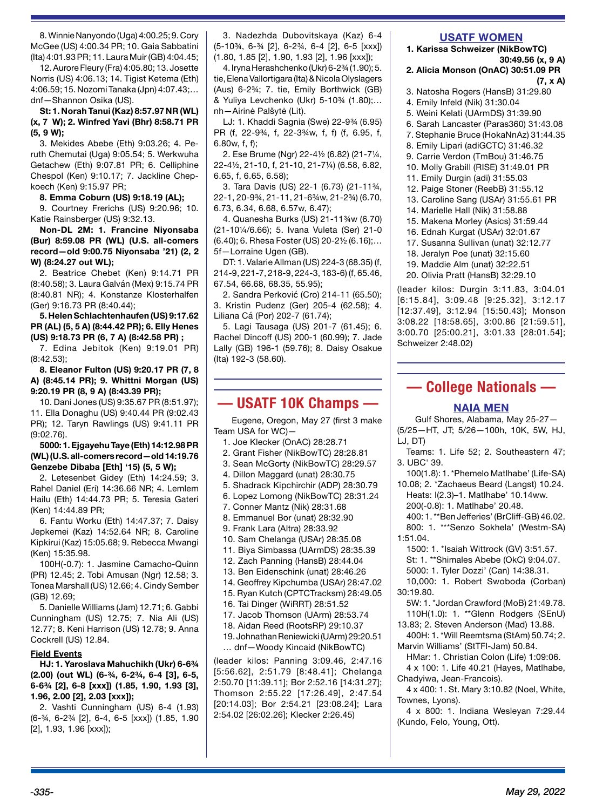8. Winnie Nanyondo (Uga) 4:00.25; 9. Cory McGee (US) 4:00.34 PR; 10. Gaia Sabbatini (Ita) 4:01.93 PR; 11. Laura Muir (GB) 4:04.45;

12. Aurore Fleury (Fra) 4:05.80; 13. Josette Norris (US) 4:06.13; 14. Tigist Ketema (Eth) 4:06.59; 15. Nozomi Tanaka (Jpn) 4:07.43;… dnf—Shannon Osika (US).

**St: 1. Norah Tanui (Kaz) 8:57.97 NR (WL) (x, 7 W); 2. Winfred Yavi (Bhr) 8:58.71 PR (5, 9 W);** 

3. Mekides Abebe (Eth) 9:03.26; 4. Peruth Chemutai (Uga) 9:05.54; 5. Werkwuha Getachew (Eth) 9:07.81 PR; 6. Celliphine Chespol (Ken) 9:10.17; 7. Jackline Chepkoech (Ken) 9:15.97 PR;

#### **8. Emma Coburn (US) 9:18.19 (AL);**

9. Courtney Frerichs (US) 9:20.96; 10. Katie Rainsberger (US) 9:32.13.

**Non-DL 2M: 1. Francine Niyonsaba (Bur) 8:59.08 PR (WL) (U.S. all-comers record—old 9:00.75 Niyonsaba '21) (2, 2 W) (8:24.27 out WL);** 

2. Beatrice Chebet (Ken) 9:14.71 PR (8:40.58); 3. Laura Galván (Mex) 9:15.74 PR (8:40.81 NR); 4. Konstanze Klosterhalfen (Ger) 9:16.73 PR (8:40.44);

#### **5. Helen Schlachtenhaufen (US) 9:17.62 PR (AL) (5, 5 A) (8:44.42 PR); 6. Elly Henes (US) 9:18.73 PR (6, 7 A) (8:42.58 PR) ;**

7. Edina Jebitok (Ken) 9:19.01 PR) (8:42.53);

**8. Eleanor Fulton (US) 9:20.17 PR (7, 8 A) (8:45.14 PR); 9. Whittni Morgan (US) 9:20.19 PR (8, 9 A) (8:43.39 PR);** 

10. Dani Jones (US) 9:35.67 PR (8:51.97); 11. Ella Donaghu (US) 9:40.44 PR (9:02.43 PR); 12. Taryn Rawlings (US) 9:41.11 PR (9:02.76).

#### **5000: 1. Ejgayehu Taye (Eth) 14:12.98 PR (WL) (U.S. all-comers record—old 14:19.76 Genzebe Dibaba [Eth] '15) (5, 5 W);**

2. Letesenbet Gidey (Eth) 14:24.59; 3. Rahel Daniel (Eri) 14:36.66 NR; 4. Lemlem Hailu (Eth) 14:44.73 PR; 5. Teresia Gateri (Ken) 14:44.89 PR;

6. Fantu Worku (Eth) 14:47.37; 7. Daisy Jepkemei (Kaz) 14:52.64 NR; 8. Caroline Kipkirui (Kaz) 15:05.68; 9. Rebecca Mwangi (Ken) 15:35.98.

100H(-0.7): 1. Jasmine Camacho-Quinn (PR) 12.45; 2. Tobi Amusan (Ngr) 12.58; 3. Tonea Marshall (US) 12.66; 4. Cindy Sember (GB) 12.69;

5. Danielle Williams (Jam) 12.71; 6. Gabbi Cunningham (US) 12.75; 7. Nia Ali (US) 12.77; 8. Keni Harrison (US) 12.78; 9. Anna Cockrell (US) 12.84.

#### **Field Events**

**HJ: 1. Yaroslava Mahuchikh (Ukr) 6-6¾ (2.00) (out WL) (6-¾, 6-2¾, 6-4 [3], 6-5, 6-6¾ [2], 6-8 [xxx]) (1.85, 1.90, 1.93 [3], 1.96, 2.00 [2], 2.03 [xxx]);** 

2. Vashti Cunningham (US) 6-4 (1.93) (6-¾, 6-2¾ [2], 6-4, 6-5 [xxx]) (1.85, 1.90 [2], 1.93, 1.96 [xxx]);

3. Nadezhda Dubovitskaya (Kaz) 6-4 (5-10¾, 6-¾ [2], 6-2¾, 6-4 [2], 6-5 [xxx]) (1.80, 1.85 [2], 1.90, 1.93 [2], 1.96 [xxx]);

4. Iryna Herashchenko (Ukr) 6-2¾ (1.90); 5. tie, Elena Vallortigara (Ita) & Nicola Olyslagers (Aus) 6-2¾; 7. tie, Emily Borthwick (GB) & Yuliya Levchenko (Ukr) 5-10¾ (1.80);… nh—Airinė Palšytė (Lit).

LJ: 1. Khaddi Sagnia (Swe) 22-9¾ (6.95) PR (f, 22-9¾, f, 22-3¾w, f, f) (f, 6.95, f, 6.80w, f, f);

2. Ese Brume (Ngr) 22-4½ (6.82) (21-7¼, 22-4½, 21-10, f, 21-10, 21-7¼) (6.58, 6.82, 6.65, f, 6.65, 6.58);

3. Tara Davis (US) 22-1 (6.73) (21-11¾, 22-1, 20-9¾, 21-11, 21-6¾w, 21-2¾) (6.70, 6.73, 6.34, 6.68, 6.57w, 6.47);

4. Quanesha Burks (US) 21-11¾w (6.70) (21-10¼/6.66); 5. Ivana Vuleta (Ser) 21-0 (6.40); 6. Rhesa Foster (US) 20-2½ (6.16);… 5f—Lorraine Ugen (GB).

DT: 1. Valarie Allman (US) 224-3 (68.35) (f, 214-9, 221-7, 218-9, 224-3, 183-6) (f, 65.46, 67.54, 66.68, 68.35, 55.95);

2. Sandra Perković (Cro) 214-11 (65.50); 3. Kristin Pudenz (Ger) 205-4 (62.58); 4. Liliana Cá (Por) 202-7 (61.74);

5. Lagi Tausaga (US) 201-7 (61.45); 6. Rachel Dincoff (US) 200-1 (60.99); 7. Jade Lally (GB) 196-1 (59.76); 8. Daisy Osakue (Ita) 192-3 (58.60).

# **— USATF 10K Champs —**

Eugene, Oregon, May 27 (first 3 make Team USA for WC)—

- 1. Joe Klecker (OnAC) 28:28.71
- 2. Grant Fisher (NikBowTC) 28:28.81
- 3. Sean McGorty (NikBowTC) 28:29.57
- 4. Dillon Maggard (unat) 28:30.75
- 5. Shadrack Kipchirchir (ADP) 28:30.79
- 6. Lopez Lomong (NikBowTC) 28:31.24
- 7. Conner Mantz (Nik) 28:31.68
- 8. Emmanuel Bor (unat) 28:32.90
- 9. Frank Lara (Altra) 28:33.92
- 10. Sam Chelanga (USAr) 28:35.08
- 11. Biya Simbassa (UArmDS) 28:35.39
- 12. Zach Panning (HansB) 28:44.04
- 13. Ben Eidenschink (unat) 28:46.26
- 14. Geoffrey Kipchumba (USAr) 28:47.02
- 15. Ryan Kutch (CPTCTracksm) 28:49.05
- 16. Tai Dinger (WiRRT) 28:51.52
- 17. Jacob Thomson (UArm) 28:53.74
- 18. Aidan Reed (RootsRP) 29:10.37
- 19. Johnathan Reniewicki (UArm) 29:20.51
- … dnf—Woody Kincaid (NikBowTC)

(leader kilos: Panning 3:09.46, 2:47.16 [5:56.62], 2:51.79 [8:48.41]; Chelanga 2:50.70 [11:39.11]; Bor 2:52.16 [14:31.27]; Thomson 2:55.22 [17:26.49], 2:47.54 [20:14.03]; Bor 2:54.21 [23:08.24]; Lara 2:54.02 [26:02.26]; Klecker 2:26.45)

## **USATF WOMEN**

**1. Karissa Schweizer (NikBowTC) 30:49.56 (x, 9 A)**

#### **2. Alicia Monson (OnAC) 30:51.09 PR (7, x A)**

- 3. Natosha Rogers (HansB) 31:29.80 4. Emily Infeld (Nik) 31:30.04
- 5. Weini Kelati (UArmDS) 31:39.90
- 6. Sarah Lancaster (Paras360) 31:43.08
- 7. Stephanie Bruce (HokaNnAz) 31:44.35
- 8. Emily Lipari (adiGCTC) 31:46.32
- 9. Carrie Verdon (TmBou) 31:46.75
- 10. Molly Grabill (RISE) 31:49.01 PR
- 11. Emily Durgin (adi) 31:55.03
- 12. Paige Stoner (ReebB) 31:55.12
- 13. Caroline Sang (USAr) 31:55.61 PR
- 14. Marielle Hall (Nik) 31:58.88
- 15. Makena Morley (Asics) 31:59.44
- 16. Ednah Kurgat (USAr) 32:01.67
- 17. Susanna Sullivan (unat) 32:12.77
- 18. Jeralyn Poe (unat) 32:15.60
- 19. Maddie Alm (unat) 32:22.51
- 20. Olivia Pratt (HansB) 32:29.10

(leader kilos: Durgin 3:11.83, 3:04.01 [6:15.84], 3:09.48 [9:25.32], 3:12.17 [12:37.49], 3:12.94 [15:50.43]; Monson 3:08.22 [18:58.65], 3:00.86 [21:59.51], 3:00.70 [25:00.21], 3:01.33 [28:01.54]; Schweizer 2:48.02)

# **— College Nationals —**

#### **NAIA MEN**

Gulf Shores, Alabama, May 25-27— (5/25—HT, JT; 5/26—100h, 10K, 5W, HJ, LJ, DT)

Teams: 1. Life 52; 2. Southeastern 47; 3. UBC' 39.

100(1.8): 1. \*Phemelo Matlhabe' (Life-SA) 10.08; 2. \*Zachaeus Beard (Langst) 10.24.

Heats: I(2.3)–1. Matlhabe' 10.14ww. 200(-0.8): 1. Matlhabe' 20.48.

400: 1. \*\*Ben Jefferies' (BrCliff-GB) 46.02. 800: 1. \*\*\*Senzo Sokhela' (Westm-SA)

1:51.04.

1500: 1. \*Isaiah Wittrock (GV) 3:51.57.

St: 1. \*\*Shimales Abebe (OkC) 9:04.07.

5000: 1. Tyler Dozzi' (Can) 14:38.31. 10,000: 1. Robert Swoboda (Corban) 30:19.80.

- - 5W: 1. \*Jordan Crawford (MoB) 21:49.78. 110H(1.0): 1. \*\*Glenn Rodgers (SEnU)

13.83; 2. Steven Anderson (Mad) 13.88. 400H: 1. \*Will Reemtsma (StAm) 50.74; 2. Marvin Williams' (StTFl-Jam) 50.84.

HMar: 1. Christian Colon (Life) 1:09:06. 4 x 100: 1. Life 40.21 (Hayes, Matlhabe, Chadyiwa, Jean-Francois).

4 x 400: 1. St. Mary 3:10.82 (Noel, White, Townes, Lyons).

4 x 800: 1. Indiana Wesleyan 7:29.44 (Kundo, Felo, Young, Ott).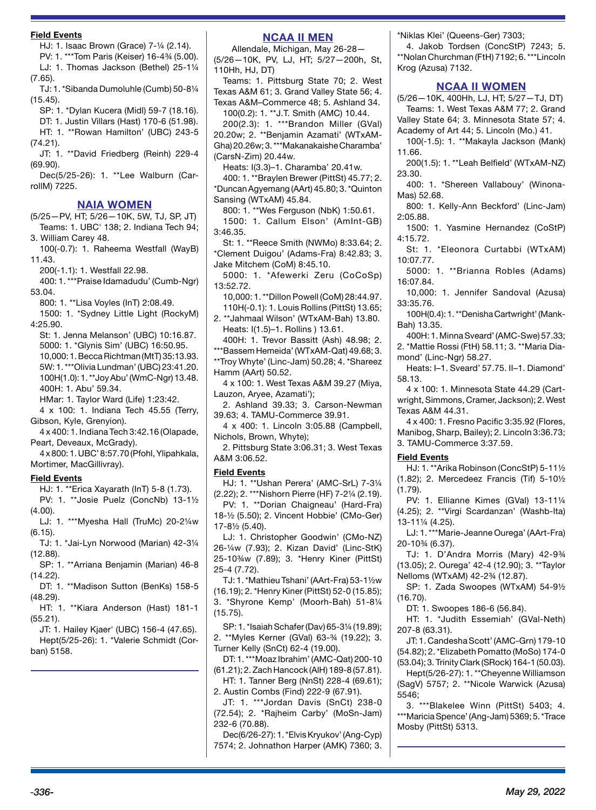#### **Field Events**

HJ: 1. Isaac Brown (Grace) 7-¼ (2.14). PV: 1. \*\*\*Tom Paris (Keiser) 16-4¾ (5.00).

LJ: 1. Thomas Jackson (Bethel) 25-1¼

(7.65).

TJ: 1. \*Sibanda Dumoluhle (Cumb) 50-8¼ (15.45).

SP: 1. \*Dylan Kucera (Midl) 59-7 (18.16). DT: 1. Justin Villars (Hast) 170-6 (51.98). HT: 1. \*\*Rowan Hamilton' (UBC) 243-5 (74.21).

JT: 1. \*\*David Friedberg (Reinh) 229-4 (69.90).

Dec(5/25-26): 1. \*\*Lee Walburn (CarrollM) 7225.

#### **NAIA WOMEN**

(5/25—PV, HT; 5/26—10K, 5W, TJ, SP, JT) Teams: 1. UBC' 138; 2. Indiana Tech 94; 3. William Carey 48.

100(-0.7): 1. Raheema Westfall (WayB) 11.43.

200(-1.1): 1. Westfall 22.98.

400: 1. \*\*\*Praise Idamadudu' (Cumb-Ngr) 53.04.

800: 1. \*\*Lisa Voyles (InT) 2:08.49.

1500: 1. \*Sydney Little Light (RockyM) 4:25.90.

St: 1. Jenna Melanson' (UBC) 10:16.87. 5000: 1. \*Glynis Sim' (UBC) 16:50.95. 10,000: 1. Becca Richtman (MtT) 35:13.93. 5W: 1. \*\*\*Olivia Lundman' (UBC) 23:41.20. 100H(1.0): 1. \*\*Joy Abu' (WmC-Ngr) 13.48. 400H: 1. Abu' 59.34.

HMar: 1. Taylor Ward (Life) 1:23:42.

4 x 100: 1. Indiana Tech 45.55 (Terry, Gibson, Kyle, Grenyion).

4 x 400: 1. Indiana Tech 3:42.16 (Olapade, Peart, Deveaux, McGrady).

4 x 800: 1. UBC' 8:57.70 (Pfohl, Ylipahkala, Mortimer, MacGillivray).

#### **Field Events**

HJ: 1. \*\*Erica Xayarath (InT) 5-8 (1.73). PV: 1. \*\*Josie Puelz (ConcNb) 13-1½

 $(4.00)$ . LJ: 1. \*\*\*Myesha Hall (TruMc) 20-2¼w (6.15).

TJ: 1. \*Jai-Lyn Norwood (Marian) 42-3¼ (12.88).

SP: 1. \*\*Arriana Benjamin (Marian) 46-8 (14.22).

DT: 1. \*\*Madison Sutton (BenKs) 158-5 (48.29).

HT: 1. \*\*Kiara Anderson (Hast) 181-1 (55.21).

JT: 1. Hailey Kjaer' (UBC) 156-4 (47.65). Hept(5/25-26): 1. \*Valerie Schmidt (Corban) 5158.

# **NCAA II MEN**

Allendale, Michigan, May 26-28— (5/26—10K, PV, LJ, HT; 5/27—200h, St, 110Hh, HJ, DT)

Teams: 1. Pittsburg State 70; 2. West Texas A&M 61; 3. Grand Valley State 56; 4. Texas A&M–Commerce 48; 5. Ashland 34.

100(0.2): 1. \*\*J.T. Smith (AMC) 10.44. 200(2.3): 1. \*\*\*Brandon Miller (GVal) 20.20w; 2. \*\*Benjamin Azamati' (WTxAM-Gha) 20.26w; 3. \*\*\*Makanakaishe Charamba' (CarsN-Zim) 20.44w.

Heats: I(3.3)–1. Charamba' 20.41w.

400: 1. \*\*Braylen Brewer (PittSt) 45.77; 2. \*Duncan Agyemang (AArt) 45.80; 3. \*Quinton Sansing (WTxAM) 45.84.

800: 1. \*\*Wes Ferguson (NbK) 1:50.61. 1500: 1. Callum Elson' (AmInt-GB) 3:46.35.

St: 1. \*\*Reece Smith (NWMo) 8:33.64; 2. \*Clement Duigou' (Adams-Fra) 8:42.83; 3. Jake Mitchem (CoM) 8:45.10.

5000: 1. \*Afewerki Zeru (CoCoSp) 13:52.72.

10,000: 1. \*\*Dillon Powell (CoM) 28:44.97. 110H(-0.1): 1. Louis Rollins (PittSt) 13.65;

2. \*\*Jahmaal Wilson' (WTxAM-Bah) 13.80. Heats: I(1.5)–1. Rollins ) 13.61.

400H: 1. Trevor Bassitt (Ash) 48.98; 2. \*\*\*Bassem Hemeida' (WTxAM-Qat) 49.68; 3. \*\*Troy Whyte' (Linc-Jam) 50.28; 4. \*Shareez

Hamm (AArt) 50.52. 4 x 100: 1. West Texas A&M 39.27 (Miya, Lauzon, Aryee, Azamati');

2. Ashland 39.33; 3. Carson-Newman 39.63; 4. TAMU-Commerce 39.91.

4 x 400: 1. Lincoln 3:05.88 (Campbell, Nichols, Brown, Whyte);

2. Pittsburg State 3:06.31; 3. West Texas A&M 3:06.52.

#### **Field Events**

HJ: 1. \*\*Ushan Perera' (AMC-SrL) 7-3¼ (2.22); 2. \*\*\*Nishorn Pierre (HF) 7-2¼ (2.19).

PV: 1. \*\*Dorian Chaigneau' (Hard-Fra) 18-½ (5.50); 2. Vincent Hobbie' (CMo-Ger) 17-8½ (5.40).

LJ: 1. Christopher Goodwin' (CMo-NZ) 26-¼w (7.93); 2. Kizan David' (Linc-StK) 25-10¾w (7.89); 3. \*Henry Kiner (PittSt) 25-4 (7.72).

TJ: 1. \*Mathieu Tshani' (AArt-Fra) 53-1½w (16.19); 2. \*Henry Kiner (PittSt) 52-0 (15.85); 3. \*Shyrone Kemp' (Moorh-Bah) 51-8¼ (15.75).

SP: 1. \*Isaiah Schafer (Dav) 65-3¼ (19.89); 2. \*\*Myles Kerner (GVal) 63-¾ (19.22); 3. Turner Kelly (SnCt) 62-4 (19.00).

DT: 1. \*\*\*Moaz Ibrahim' (AMC-Qat) 200-10 (61.21); 2. Zach Hancock (AlH) 189-8 (57.81).

HT: 1. Tanner Berg (NnSt) 228-4 (69.61); 2. Austin Combs (Find) 222-9 (67.91).

JT: 1. \*\*\*Jordan Davis (SnCt) 238-0 (72.54); 2. \*Rajheim Carby' (MoSn-Jam) 232-6 (70.88).

Dec(6/26-27): 1. \*Elvis Kryukov' (Ang-Cyp) 7574; 2. Johnathon Harper (AMK) 7360; 3. \*Niklas Klei' (Queens-Ger) 7303;

4. Jakob Tordsen (ConcStP) 7243; 5. \*\*Nolan Churchman (FtH) 7192; 6. \*\*\*Lincoln Krog (Azusa) 7132.

#### **NCAA II WOMEN**

(5/26—10K, 400Hh, LJ, HT; 5/27—TJ, DT) Teams: 1. West Texas A&M 77; 2. Grand Valley State 64; 3. Minnesota State 57; 4. Academy of Art 44; 5. Lincoln (Mo.) 41.

100(-1.5): 1. \*\*Makayla Jackson (Mank) 11.66.

200(1.5): 1. \*\*Leah Belfield' (WTxAM-NZ) 23.30.

400: 1. \*Shereen Vallabouy' (Winona-Mas) 52.68.

800: 1. Kelly-Ann Beckford' (Linc-Jam) 2:05.88.

1500: 1. Yasmine Hernandez (CoStP) 4:15.72.

St: 1. \*Eleonora Curtabbi (WTxAM) 10:07.77.

5000: 1. \*\*Brianna Robles (Adams) 16:07.84.

10,000: 1. Jennifer Sandoval (Azusa) 33:35.76.

100H(0.4): 1. \*\*Denisha Cartwright' (Mank-Bah) 13.35.

400H: 1. Minna Sveard' (AMC-Swe) 57.33; 2. \*Mattie Rossi (FtH) 58.11; 3. \*\*Maria Diamond' (Linc-Ngr) 58.27.

Heats: I–1. Sveard' 57.75. II–1. Diamond' 58.13.

4 x 100: 1. Minnesota State 44.29 (Cartwright, Simmons, Cramer, Jackson); 2. West Texas A&M 44.31.

4 x 400: 1. Fresno Pacific 3:35.92 (Flores, Manibog, Sharp, Bailey); 2. Lincoln 3:36.73; 3. TAMU-Commerce 3:37.59.

#### **Field Events**

HJ: 1. \*\*Arika Robinson (ConcStP) 5-11½ (1.82); 2. Mercedeez Francis (Tif) 5-10½ (1.79).

PV: 1. Ellianne Kimes (GVal) 13-11¼ (4.25); 2. \*\*Virgi Scardanzan' (Washb-Ita) 13-11¼ (4.25).

LJ: 1. \*\*\*Marie-Jeanne Ourega' (AArt-Fra) 20-10¾ (6.37).

TJ: 1. D'Andra Morris (Mary) 42-9¾ (13.05); 2. Ourega' 42-4 (12.90); 3. \*\*Taylor Nelloms (WTxAM) 42-2¾ (12.87).

SP: 1. Zada Swoopes (WTxAM) 54-9½ (16.70).

DT: 1. Swoopes 186-6 (56.84).

HT: 1. \*Judith Essemiah' (GVal-Neth) 207-8 (63.31).

JT: 1. Candesha Scott' (AMC-Grn) 179-10 (54.82); 2. \*Elizabeth Pomatto (MoSo) 174-0 (53.04); 3. Trinity Clark (SRock) 164-1 (50.03).

Hept(5/26-27): 1. \*\*Cheyenne Williamson (SagV) 5757; 2. \*\*Nicole Warwick (Azusa) 5546;

3. \*\*\*Blakelee Winn (PittSt) 5403; 4. \*\*\*Maricia Spence' (Ang-Jam) 5369; 5. \*Trace Mosby (PittSt) 5313.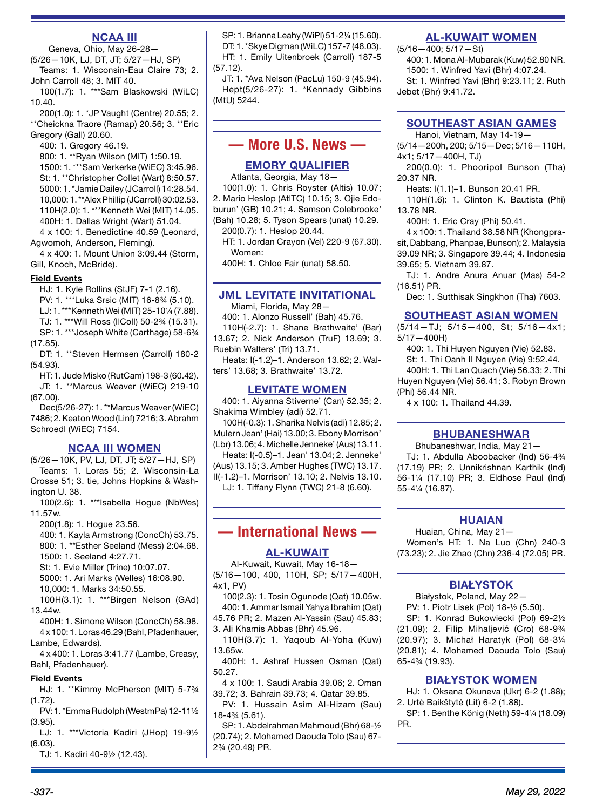# **NCAA III**

Geneva, Ohio, May 26-28— (5/26—10K, LJ, DT, JT; 5/27—HJ, SP)

Teams: 1. Wisconsin-Eau Claire 73; 2. John Carroll 48; 3. MIT 40.

100(1.7): 1. \*\*\*Sam Blaskowski (WiLC) 10.40.

200(1.0): 1. \*JP Vaught (Centre) 20.55; 2. \*\*Cheickna Traore (Ramap) 20.56; 3. \*\*Eric

Gregory (Gall) 20.60.

400: 1. Gregory 46.19.

800: 1. \*\*Ryan Wilson (MIT) 1:50.19. 1500: 1. \*\*\*Sam Verkerke (WiEC) 3:45.96. St: 1. \*\*Christopher Collet (Wart) 8:50.57. 5000: 1. \*Jamie Dailey (JCarroll) 14:28.54. 10,000: 1. \*\*Alex Phillip (JCarroll) 30:02.53. 110H(2.0): 1. \*\*\*Kenneth Wei (MIT) 14.05. 400H: 1. Dallas Wright (Wart) 51.04.

4 x 100: 1. Benedictine 40.59 (Leonard, Agwomoh, Anderson, Fleming).

4 x 400: 1. Mount Union 3:09.44 (Storm, Gill, Knoch, McBride).

#### **Field Events**

HJ: 1. Kyle Rollins (StJF) 7-1 (2.16).

PV: 1. \*\*\*Luka Srsic (MIT) 16-8¾ (5.10).

LJ: 1. \*\*\*Kenneth Wei (MIT) 25-10¼ (7.88).

TJ: 1. \*\*\*Will Ross (IlColl) 50-2¾ (15.31).

SP: 1. \*\*\*Joseph White (Carthage) 58-6¾

(17.85).

DT: 1. \*\*Steven Hermsen (Carroll) 180-2 (54.93).

HT: 1. Jude Misko (RutCam) 198-3 (60.42). JT: 1. \*\*Marcus Weaver (WiEC) 219-10 (67.00).

Dec(5/26-27): 1. \*\*Marcus Weaver (WiEC) 7486; 2. Keaton Wood (Linf) 7216; 3. Abrahm Schroedl (WiEC) 7154.

#### **NCAA III WOMEN**

(5/26—10K, PV, LJ, DT, JT; 5/27—HJ, SP) Teams: 1. Loras 55; 2. Wisconsin-La Crosse 51; 3. tie, Johns Hopkins & Washington U. 38.

100(2.6): 1. \*\*\*Isabella Hogue (NbWes) 11.57w.

200(1.8): 1. Hogue 23.56.

400: 1. Kayla Armstrong (ConcCh) 53.75. 800: 1. \*\*Esther Seeland (Mess) 2:04.68. 1500: 1. Seeland 4:27.71.

St: 1. Evie Miller (Trine) 10:07.07.

5000: 1. Ari Marks (Welles) 16:08.90.

10,000: 1. Marks 34:50.55.

100H(3.1): 1. \*\*\*Birgen Nelson (GAd) 13.44w.

400H: 1. Simone Wilson (ConcCh) 58.98. 4 x 100: 1. Loras 46.29 (Bahl, Pfadenhauer, Lambe, Edwards).

4 x 400: 1. Loras 3:41.77 (Lambe, Creasy, Bahl, Pfadenhauer).

#### **Field Events**

HJ: 1. \*\*Kimmy McPherson (MIT) 5-7¾ (1.72).

PV: 1. \*Emma Rudolph (WestmPa) 12-11½ (3.95).

LJ: 1. \*\*\*Victoria Kadiri (JHop) 19-9½ (6.03).

TJ: 1. Kadiri 40-9½ (12.43).

SP: 1. Brianna Leahy (WiPl) 51-2¼ (15.60). DT: 1. \*Skye Digman (WiLC) 157-7 (48.03). HT: 1. Emily Uitenbroek (Carroll) 187-5 (57.12).

JT: 1. \*Ava Nelson (PacLu) 150-9 (45.94). Hept(5/26-27): 1. \*Kennady Gibbins (MtU) 5244.

# **— More U.S. News —**

## **EMORY QUALIFIER**

Atlanta, Georgia, May 18— 100(1.0): 1. Chris Royster (Altis) 10.07;

2. Mario Heslop (AtlTC) 10.15; 3. Ojie Edoburun' (GB) 10.21; 4. Samson Colebrooke' (Bah) 10.28; 5. Tyson Spears (unat) 10.29. 200(0.7): 1. Heslop 20.44.

HT: 1. Jordan Crayon (Vel) 220-9 (67.30). Women:

400H: 1. Chloe Fair (unat) 58.50.

# **JML LEVITATE INVITATIONAL**

Miami, Florida, May 28—

400: 1. Alonzo Russell' (Bah) 45.76. 110H(-2.7): 1. Shane Brathwaite' (Bar) 13.67; 2. Nick Anderson (TruF) 13.69; 3. Ruebin Walters' (Tri) 13.71.

Heats: I(-1.2)–1. Anderson 13.62; 2. Walters' 13.68; 3. Brathwaite' 13.72.

#### **LEVITATE WOMEN**

400: 1. Aiyanna Stiverne' (Can) 52.35; 2. Shakima Wimbley (adi) 52.71.

100H(-0.3): 1. Sharika Nelvis (adi) 12.85; 2. Mulern Jean' (Hai) 13.00; 3. Ebony Morrison' (Lbr) 13.06; 4. Michelle Jenneke' (Aus) 13.11.

Heats: I(-0.5)–1. Jean' 13.04; 2. Jenneke'

(Aus) 13.15; 3. Amber Hughes (TWC) 13.17. II(-1.2)–1. Morrison' 13.10; 2. Nelvis 13.10. LJ: 1. Tiffany Flynn (TWC) 21-8 (6.60).

# **— International News —**

#### **AL-KUWAIT**

Al-Kuwait, Kuwait, May 16-18— (5/16—100, 400, 110H, SP; 5/17—400H, 4x1, PV)

100(2.3): 1. Tosin Ogunode (Qat) 10.05w.

400: 1. Ammar Ismail Yahya Ibrahim (Qat) 45.76 PR; 2. Mazen Al-Yassin (Sau) 45.83; 3. Ali Khamis Abbas (Bhr) 45.96.

110H(3.7): 1. Yaqoub Al-Yoha (Kuw) 13.65w.

400H: 1. Ashraf Hussen Osman (Qat) 50.27.

4 x 100: 1. Saudi Arabia 39.06; 2. Oman 39.72; 3. Bahrain 39.73; 4. Qatar 39.85.

PV: 1. Hussain Asim Al-Hizam (Sau) 18-4¾ (5.61).

SP: 1. Abdelrahman Mahmoud (Bhr) 68-½ (20.74); 2. Mohamed Daouda Tolo (Sau) 67- 2¾ (20.49) PR.

# **AL-KUWAIT WOMEN**

(5/16—400; 5/17—St)

400: 1. Mona Al-Mubarak (Kuw) 52.80 NR. 1500: 1. Winfred Yavi (Bhr) 4:07.24. St: 1. Winfred Yavi (Bhr) 9:23.11; 2. Ruth Jebet (Bhr) 9:41.72.

# **SOUTHEAST ASIAN GAMES**

Hanoi, Vietnam, May 14-19—

(5/14—200h, 200; 5/15—Dec; 5/16—110H, 4x1; 5/17—400H, TJ)

200(0.0): 1. Phooripol Bunson (Tha) 20.37 NR.

Heats: I(1.1)–1. Bunson 20.41 PR.

110H(1.6): 1. Clinton K. Bautista (Phi) 13.78 NR.

400H: 1. Eric Cray (Phi) 50.41.

4 x 100: 1. Thailand 38.58 NR (Khongprasit, Dabbang, Phanpae, Bunson); 2. Malaysia 39.09 NR; 3. Singapore 39.44; 4. Indonesia 39.65; 5. Vietnam 39.87.

TJ: 1. Andre Anura Anuar (Mas) 54-2 (16.51) PR.

Dec: 1. Sutthisak Singkhon (Tha) 7603.

# **SOUTHEAST ASIAN WOMEN**

(5/14—TJ; 5/15—400, St; 5/16—4x1; 5/17—400H)

400: 1. Thi Huyen Nguyen (Vie) 52.83.

St: 1. Thi Oanh II Nguyen (Vie) 9:52.44. 400H: 1. Thi Lan Quach (Vie) 56.33; 2. Thi Huyen Nguyen (Vie) 56.41; 3. Robyn Brown (Phi) 56.44 NR.

4 x 100: 1. Thailand 44.39.

# **BHUBANESHWAR**

Bhubaneshwar, India, May 21— TJ: 1. Abdulla Aboobacker (Ind) 56-4¾ (17.19) PR; 2. Unnikrishnan Karthik (Ind) 56-1¼ (17.10) PR; 3. Eldhose Paul (Ind) 55-4¼ (16.87).

# **HUAIAN**

Huaian, China, May 21— Women's HT: 1. Na Luo (Chn) 240-3 (73.23); 2. Jie Zhao (Chn) 236-4 (72.05) PR.

# **BIAŁYSTOK**

Białystok, Poland, May 22— PV: 1. Piotr Lisek (Pol) 18-½ (5.50).

SP: 1. Konrad Bukowiecki (Pol) 69-2½ (21.09); 2. Filip Mihaljević (Cro) 68-9¾ (20.97); 3. Michał Haratyk (Pol) 68-3¼ (20.81); 4. Mohamed Daouda Tolo (Sau) 65-4¾ (19.93).

## **BIAŁYSTOK WOMEN**

HJ: 1. Oksana Okuneva (Ukr) 6-2 (1.88); 2. Urtė Baikštytė (Lit) 6-2 (1.88).

SP: 1. Benthe König (Neth) 59-4¼ (18.09) PR.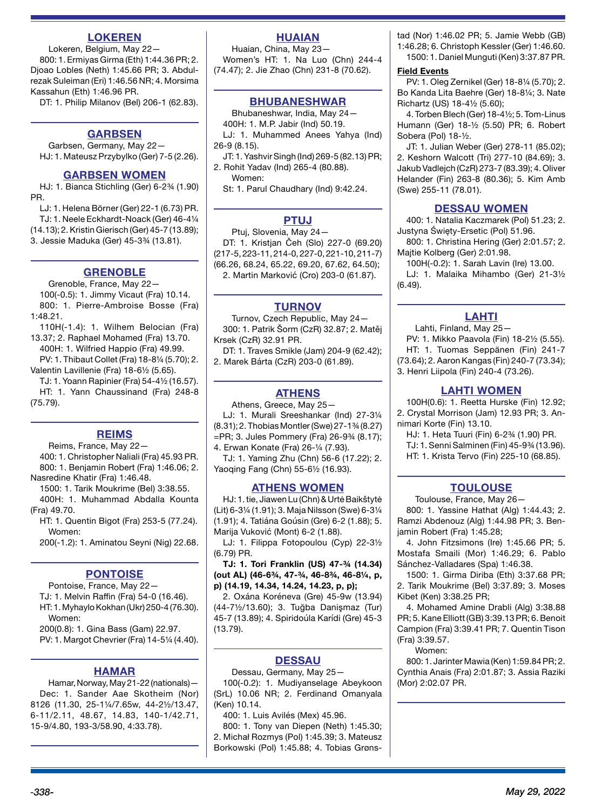# **LOKEREN**

Lokeren, Belgium, May 22— 800: 1. Ermiyas Girma (Eth) 1:44.36 PR; 2. Djoao Lobles (Neth) 1:45.66 PR; 3. Abdulrezak Suleiman (Eri) 1:46.56 NR; 4. Morsima Kassahun (Eth) 1:46.96 PR.

DT: 1. Philip Milanov (Bel) 206-1 (62.83).

#### **GARBSEN**

Garbsen, Germany, May 22— HJ: 1. Mateusz Przybylko (Ger) 7-5 (2.26).

#### **GARBSEN WOMEN**

HJ: 1. Bianca Stichling (Ger) 6-2¾ (1.90) PR.

LJ: 1. Helena Börner (Ger) 22-1 (6.73) PR. TJ: 1. Neele Eckhardt-Noack (Ger) 46-4¼ (14.13); 2. Kristin Gierisch (Ger) 45-7 (13.89); 3. Jessie Maduka (Ger) 45-3¾ (13.81).

#### **GRENOBLE**

Grenoble, France, May 22— 100(-0.5): 1. Jimmy Vicaut (Fra) 10.14. 800: 1. Pierre-Ambroise Bosse (Fra) 1:48.21.

110H(-1.4): 1. Wilhem Belocian (Fra) 13.37; 2. Raphael Mohamed (Fra) 13.70.

400H: 1. Wilfried Happio (Fra) 49.99. PV: 1. Thibaut Collet (Fra) 18-8¼ (5.70); 2.

Valentin Lavillenie (Fra) 18-6½ (5.65). TJ: 1. Yoann Rapinier (Fra) 54-4½ (16.57).

HT: 1. Yann Chaussinand (Fra) 248-8 (75.79).

#### **REIMS**

Reims, France, May 22—

400: 1. Christopher Naliali (Fra) 45.93 PR. 800: 1. Benjamin Robert (Fra) 1:46.06; 2.

Nasredine Khatir (Fra) 1:46.48.

1500: 1. Tarik Moukrime (Bel) 3:38.55. 400H: 1. Muhammad Abdalla Kounta

(Fra) 49.70.

HT: 1. Quentin Bigot (Fra) 253-5 (77.24). Women:

200(-1.2): 1. Aminatou Seyni (Nig) 22.68.

# **PONTOISE**

Pontoise, France, May 22— TJ: 1. Melvin Raffin (Fra) 54-0 (16.46). HT: 1. Myhaylo Kokhan (Ukr) 250-4 (76.30). Women:

200(0.8): 1. Gina Bass (Gam) 22.97. PV: 1. Margot Chevrier (Fra) 14-5¼ (4.40).

#### **HAMAR**

Hamar, Norway, May 21-22 (nationals)— Dec: 1. Sander Aae Skotheim (Nor) 8126 (11.30, 25-1¼/7.65w, 44-2½/13.47, 6-11/2.11, 48.67, 14.83, 140-1/42.71, 15-9/4.80, 193-3/58.90, 4:33.78).

# **HUAIAN**

Huaian, China, May 23— Women's HT: 1. Na Luo (Chn) 244-4 (74.47); 2. Jie Zhao (Chn) 231-8 (70.62).

## **BHUBANESHWAR**

Bhubaneshwar, India, May 24— 400H: 1. M.P. Jabir (Ind) 50.19. LJ: 1. Muhammed Anees Yahya (Ind)

26-9 (8.15).

JT: 1. Yashvir Singh (Ind) 269-5 (82.13) PR; 2. Rohit Yadav (Ind) 265-4 (80.88). Women:

St: 1. Parul Chaudhary (Ind) 9:42.24.

# **PTUJ**

Ptuj, Slovenia, May 24— DT: 1. Kristjan Čeh (Slo) 227-0 (69.20) (217-5, 223-11, 214-0, 227-0, 221-10, 211-7) (66.26, 68.24, 65.22, 69.20, 67.62, 64.50); 2. Martin Marković (Cro) 203-0 (61.87).

#### **TURNOV**

Turnov, Czech Republic, May 24— 300: 1. Patrik Šorm (CzR) 32.87; 2. Matěj Krsek (CzR) 32.91 PR.

DT: 1. Traves Smikle (Jam) 204-9 (62.42); 2. Marek Bárta (CzR) 203-0 (61.89).

# **ATHENS**

Athens, Greece, May 25—

LJ: 1. Murali Sreeshankar (Ind) 27-3¼ (8.31); 2. Thobias Montler (Swe) 27-1¾ (8.27) =PR; 3. Jules Pommery (Fra) 26-9¾ (8.17);

4. Erwan Konate (Fra) 26-¼ (7.93).

TJ: 1. Yaming Zhu (Chn) 56-6 (17.22); 2. Yaoqing Fang (Chn) 55-6½ (16.93).

# **ATHENS WOMEN**

HJ: 1. tie, Jiawen Lu (Chn) & Urtė Baikštytė (Lit) 6-3¼ (1.91); 3. Maja Nilsson (Swe) 6-3¼ (1.91); 4. Tatiána Goúsin (Gre) 6-2 (1.88); 5. Marija Vuković (Mont) 6-2 (1.88).

LJ: 1. Filippa Fotopoulou (Cyp) 22-3½ (6.79) PR.

**TJ: 1. Tori Franklin (US) 47-¾ (14.34) (out AL) (46-6¾, 47-¾, 46-8¾, 46-8¼, p, p) (14.19, 14.34, 14.24, 14.23, p, p);** 

2. Oxána Koréneva (Gre) 45-9w (13.94) (44-7½/13.60); 3. Tuğba Danişmaz (Tur) 45-7 (13.89); 4. Spiridoúla Karídi (Gre) 45-3 (13.79).

## **DESSAU**

Dessau, Germany, May 25—

100(-0.2): 1. Mudiyanselage Abeykoon (SrL) 10.06 NR; 2. Ferdinand Omanyala (Ken) 10.14.

400: 1. Luis Avilés (Mex) 45.96.

800: 1. Tony van Diepen (Neth) 1:45.30; 2. Michał Rozmys (Pol) 1:45.39; 3. Mateusz Borkowski (Pol) 1:45.88; 4. Tobias Grønstad (Nor) 1:46.02 PR; 5. Jamie Webb (GB) 1:46.28; 6. Christoph Kessler (Ger) 1:46.60. 1500: 1. Daniel Munguti (Ken) 3:37.87 PR.

#### **Field Events**

PV: 1. Oleg Zernikel (Ger) 18-8¼ (5.70); 2. Bo Kanda Lita Baehre (Ger) 18-8¼; 3. Nate Richartz (US) 18-4½ (5.60);

4. Torben Blech (Ger) 18-4½; 5. Tom-Linus Humann (Ger) 18-½ (5.50) PR; 6. Robert Sobera (Pol) 18-½.

JT: 1. Julian Weber (Ger) 278-11 (85.02); 2. Keshorn Walcott (Tri) 277-10 (84.69); 3. Jakub Vadlejch (CzR) 273-7 (83.39); 4. Oliver Helander (Fin) 263-8 (80.36); 5. Kim Amb (Swe) 255-11 (78.01).

#### **DESSAU WOMEN**

400: 1. Natalia Kaczmarek (Pol) 51.23; 2. Justyna Święty-Ersetic (Pol) 51.96.

800: 1. Christina Hering (Ger) 2:01.57; 2. Majtie Kolberg (Ger) 2:01.98.

100H(-0.2): 1. Sarah Lavin (Ire) 13.00.

LJ: 1. Malaika Mihambo (Ger) 21-3½ (6.49).

#### **LAHTI**

Lahti, Finland, May 25—

PV: 1. Mikko Paavola (Fin) 18-2½ (5.55). HT: 1. Tuomas Seppänen (Fin) 241-7 (73.64); 2. Aaron Kangas (Fin) 240-7 (73.34); 3. Henri Liipola (Fin) 240-4 (73.26).

#### **LAHTI WOMEN**

100H(0.6): 1. Reetta Hurske (Fin) 12.92; 2. Crystal Morrison (Jam) 12.93 PR; 3. Annimari Korte (Fin) 13.10.

HJ: 1. Heta Tuuri (Fin) 6-2¾ (1.90) PR.

TJ: 1. Senni Salminen (Fin) 45-9¾ (13.96).

HT: 1. Krista Tervo (Fin) 225-10 (68.85).

#### **TOULOUSE**

Toulouse, France, May 26—

800: 1. Yassine Hathat (Alg) 1:44.43; 2. Ramzi Abdenouz (Alg) 1:44.98 PR; 3. Beniamin Robert (Fra) 1:45.28;

4. John Fitzsimons (Ire) 1:45.66 PR; 5. Mostafa Smaili (Mor) 1:46.29; 6. Pablo Sánchez-Valladares (Spa) 1:46.38.

1500: 1. Girma Diriba (Eth) 3:37.68 PR; 2. Tarik Moukrime (Bel) 3:37.89; 3. Moses Kibet (Ken) 3:38.25 PR;

4. Mohamed Amine Drabli (Alg) 3:38.88 PR; 5. Kane Elliott (GB) 3:39.13 PR; 6. Benoit Campion (Fra) 3:39.41 PR; 7. Quentin Tison (Fra) 3:39.57.

Women:

800: 1. Jarinter Mawia (Ken) 1:59.84 PR; 2. Cynthia Anais (Fra) 2:01.87; 3. Assia Raziki (Mor) 2:02.07 PR.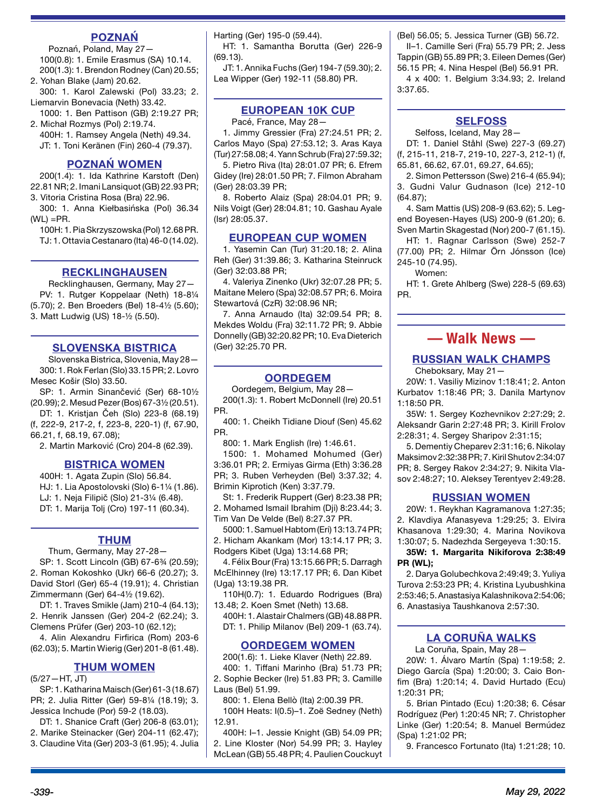# **POZNAŃ**

Poznań, Poland, May 27— 100(0.8): 1. Emile Erasmus (SA) 10.14. 200(1.3): 1. Brendon Rodney (Can) 20.55;

2. Yohan Blake (Jam) 20.62. 300: 1. Karol Zalewski (Pol) 33.23; 2. Liemarvin Bonevacia (Neth) 33.42.

1000: 1. Ben Pattison (GB) 2:19.27 PR;

2. Michał Rozmys (Pol) 2:19.74. 400H: 1. Ramsey Angela (Neth) 49.34. JT: 1. Toni Keränen (Fin) 260-4 (79.37).

# **POZNAŃ WOMEN**

200(1.4): 1. Ida Kathrine Karstoft (Den) 22.81 NR; 2. Imani Lansiquot (GB) 22.93 PR; 3. Vitoria Cristina Rosa (Bra) 22.96.

300: 1. Anna Kiełbasińska (Pol) 36.34  $(WL) = PR$ .

100H: 1. Pia Skrzyszowska (Pol) 12.68 PR. TJ: 1. Ottavia Cestanaro (Ita) 46-0 (14.02).

# **RECKLINGHAUSEN**

Recklinghausen, Germany, May 27— PV: 1. Rutger Koppelaar (Neth) 18-81/4 (5.70); 2. Ben Broeders (Bel) 18-4½ (5.60); 3. Matt Ludwig (US) 18-½ (5.50).

# **SLOVENSKA BISTRICA**

Slovenska Bistrica, Slovenia, May 28— 300: 1. Rok Ferlan (Slo) 33.15 PR; 2. Lovro Mesec Košir (Slo) 33.50.

SP: 1. Armin Sinančević (Ser) 68-10½ (20.99); 2. Mesud Pezer (Bos) 67-3½ (20.51).

DT: 1. Kristjan Čeh (Slo) 223-8 (68.19) (f, 222-9, 217-2, f, 223-8, 220-1) (f, 67.90, 66.21, f, 68.19, 67.08);

2. Martin Marković (Cro) 204-8 (62.39).

# **BISTRICA WOMEN**

400H: 1. Agata Zupin (Slo) 56.84. HJ: 1. Lia Apostolovski (Slo) 6-1¼ (1.86). LJ: 1. Neja Filipič (Slo) 21-3¼ (6.48). DT: 1. Marija Tolj (Cro) 197-11 (60.34).

#### **THUM**

Thum, Germany, May 27-28— SP: 1. Scott Lincoln (GB) 67-6¾ (20.59); 2. Roman Kokoshko (Ukr) 66-6 (20.27); 3. David Storl (Ger) 65-4 (19.91); 4. Christian

Zimmermann (Ger) 64-4½ (19.62). DT: 1. Traves Smikle (Jam) 210-4 (64.13);

2. Henrik Janssen (Ger) 204-2 (62.24); 3. Clemens Prüfer (Ger) 203-10 (62.12);

4. Alin Alexandru Firfirica (Rom) 203-6 (62.03); 5. Martin Wierig (Ger) 201-8 (61.48).

# **THUM WOMEN**

(5/27—HT, JT)

SP: 1. Katharina Maisch (Ger) 61-3 (18.67) PR; 2. Julia Ritter (Ger) 59-8¼ (18.19); 3. Jessica Inchude (Por) 59-2 (18.03).

DT: 1. Shanice Craft (Ger) 206-8 (63.01); 2. Marike Steinacker (Ger) 204-11 (62.47);

3. Claudine Vita (Ger) 203-3 (61.95); 4. Julia

Harting (Ger) 195-0 (59.44).

HT: 1. Samantha Borutta (Ger) 226-9 (69.13).

JT: 1. Annika Fuchs (Ger) 194-7 (59.30); 2. Lea Wipper (Ger) 192-11 (58.80) PR.

# **EUROPEAN 10K CUP**

Pacé, France, May 28—

1. Jimmy Gressier (Fra) 27:24.51 PR; 2. Carlos Mayo (Spa) 27:53.12; 3. Aras Kaya (Tur) 27:58.08; 4. Yann Schrub (Fra) 27:59.32;

5. Pietro Riva (Ita) 28:01.07 PR; 6. Efrem Gidey (Ire) 28:01.50 PR; 7. Filmon Abraham (Ger) 28:03.39 PR;

8. Roberto Alaiz (Spa) 28:04.01 PR; 9. Nils Voigt (Ger) 28:04.81; 10. Gashau Ayale (Isr) 28:05.37.

## **EUROPEAN CUP WOMEN**

1. Yasemin Can (Tur) 31:20.18; 2. Alina Reh (Ger) 31:39.86; 3. Katharina Steinruck (Ger) 32:03.88 PR;

4. Valeriya Zinenko (Ukr) 32:07.28 PR; 5. Maitane Melero (Spa) 32:08.57 PR; 6. Moira Stewartová (CzR) 32:08.96 NR;

7. Anna Arnaudo (Ita) 32:09.54 PR; 8. Mekdes Woldu (Fra) 32:11.72 PR; 9. Abbie Donnelly (GB) 32:20.82 PR; 10. Eva Dieterich (Ger) 32:25.70 PR.

# **OORDEGEM**

Oordegem, Belgium, May 28— 200(1.3): 1. Robert McDonnell (Ire) 20.51 PR.

400: 1. Cheikh Tidiane Diouf (Sen) 45.62 PR.

800: 1. Mark English (Ire) 1:46.61.

1500: 1. Mohamed Mohumed (Ger) 3:36.01 PR; 2. Ermiyas Girma (Eth) 3:36.28 PR; 3. Ruben Verheyden (Bel) 3:37.32; 4. Brimin Kiprotich (Ken) 3:37.79.

St: 1. Frederik Ruppert (Ger) 8:23.38 PR; 2. Mohamed Ismail Ibrahim (Dji) 8:23.44; 3. Tim Van De Velde (Bel) 8:27.37 PR.

5000: 1. Samuel Habtom (Eri) 13:13.74 PR; 2. Hicham Akankam (Mor) 13:14.17 PR; 3.

Rodgers Kibet (Uga) 13:14.68 PR;

4. Félix Bour (Fra) 13:15.66 PR; 5. Darragh McElhinney (Ire) 13:17.17 PR; 6. Dan Kibet (Uga) 13:19.38 PR.

110H(0.7): 1. Eduardo Rodrigues (Bra) 13.48; 2. Koen Smet (Neth) 13.68.

400H: 1. Alastair Chalmers (GB) 48.88 PR. DT: 1. Philip Milanov (Bel) 209-1 (63.74).

#### **OORDEGEM WOMEN**

200(1.6): 1. Lieke Klaver (Neth) 22.89. 400: 1. Tiffani Marinho (Bra) 51.73 PR; 2. Sophie Becker (Ire) 51.83 PR; 3. Camille Laus (Bel) 51.99.

800: 1. Elena Bellò (Ita) 2:00.39 PR.

100H Heats: I(0.5)–1. Zoë Sedney (Neth) 12.91.

400H: I–1. Jessie Knight (GB) 54.09 PR; 2. Line Kloster (Nor) 54.99 PR; 3. Hayley McLean (GB) 55.48 PR; 4. Paulien Couckuyt (Bel) 56.05; 5. Jessica Turner (GB) 56.72. II–1. Camille Seri (Fra) 55.79 PR; 2. Jess Tappin (GB) 55.89 PR; 3. Eileen Demes (Ger) 56.15 PR; 4. Nina Hespel (Bel) 56.91 PR. 4 x 400: 1. Belgium 3:34.93; 2. Ireland 3:37.65.

# **SELFOSS**

Selfoss, Iceland, May 28—

DT: 1. Daniel Ståhl (Swe) 227-3 (69.27) (f, 215-11, 218-7, 219-10, 227-3, 212-1) (f, 65.81, 66.62, 67.01, 69.27, 64.65);

2. Simon Pettersson (Swe) 216-4 (65.94); 3. Gudni Valur Gudnason (Ice) 212-10 (64.87);

4. Sam Mattis (US) 208-9 (63.62); 5. Legend Boyesen-Hayes (US) 200-9 (61.20); 6. Sven Martin Skagestad (Nor) 200-7 (61.15).

HT: 1. Ragnar Carlsson (Swe) 252-7 (77.00) PR; 2. Hilmar Örn Jónsson (Ice) 245-10 (74.95).

Women:

HT: 1. Grete Ahlberg (Swe) 228-5 (69.63) PR.

# **— Walk News —**

# **RUSSIAN WALK CHAMPS**

Cheboksary, May 21—

20W: 1. Vasiliy Mizinov 1:18:41; 2. Anton Kurbatov 1:18:46 PR; 3. Danila Martynov 1:18:50 PR.

35W: 1. Sergey Kozhevnikov 2:27:29; 2. Aleksandr Garin 2:27:48 PR; 3. Kirill Frolov 2:28:31; 4. Sergey Sharipov 2:31:15;

5. Dementiy Cheparev 2:31:16; 6. Nikolay Maksimov 2:32:38 PR; 7. Kiril Shutov 2:34:07 PR; 8. Sergey Rakov 2:34:27; 9. Nikita Vlasov 2:48:27; 10. Aleksey Terentyev 2:49:28.

# **RUSSIAN WOMEN**

20W: 1. Reykhan Kagramanova 1:27:35; 2. Klavdiya Afanasyeva 1:29:25; 3. Elvira Khasanova 1:29:30; 4. Marina Novikova 1:30:07; 5. Nadezhda Sergeyeva 1:30:15.

**35W: 1. Margarita Nikiforova 2:38:49 PR (WL);** 

2. Darya Golubechkova 2:49:49; 3. Yuliya Turova 2:53:23 PR; 4. Kristina Lyubushkina 2:53:46; 5. Anastasiya Kalashnikova 2:54:06; 6. Anastasiya Taushkanova 2:57:30.

# **LA CORUÑA WALKS**

La Coruña, Spain, May 28—

20W: 1. Álvaro Martín (Spa) 1:19:58; 2. Diego García (Spa) 1:20:00; 3. Caio Bonfim (Bra) 1:20:14; 4. David Hurtado (Ecu) 1:20:31 PR;

5. Brian Pintado (Ecu) 1:20:38; 6. César Rodríguez (Per) 1:20:45 NR; 7. Christopher Linke (Ger) 1:20:54; 8. Manuel Bermúdez (Spa) 1:21:02 PR;

9. Francesco Fortunato (Ita) 1:21:28; 10.